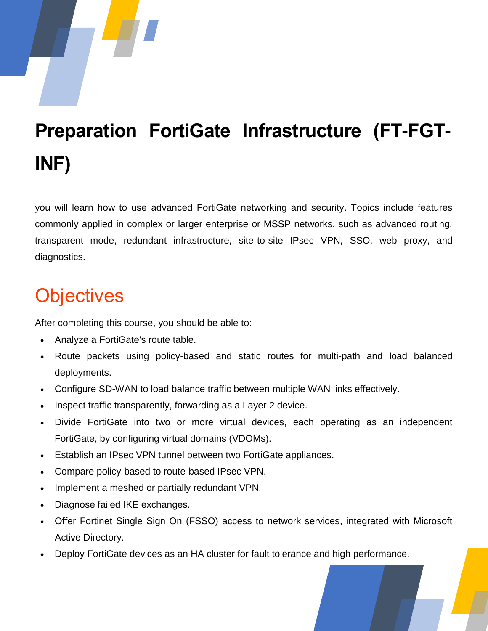# **Preparation FortiGate Infrastructure (FT-FGT-INF)**

you will learn how to use advanced FortiGate networking and security. Topics include features commonly applied in complex or larger enterprise or MSSP networks, such as advanced routing, transparent mode, redundant infrastructure, site-to-site IPsec VPN, SSO, web proxy, and diagnostics.

#### **Objectives**

After completing this course, you should be able to:

- Analyze a FortiGate's route table.
- Route packets using policy-based and static routes for multi-path and load balanced deployments.
- Configure SD-WAN to load balance traffic between multiple WAN links effectively.
- Inspect traffic transparently, forwarding as a Layer 2 device.
- Divide FortiGate into two or more virtual devices, each operating as an independent FortiGate, by configuring virtual domains (VDOMs).
- Establish an IPsec VPN tunnel between two FortiGate appliances.
- Compare policy-based to route-based IPsec VPN.
- Implement a meshed or partially redundant VPN.
- Diagnose failed IKE exchanges.
- Offer Fortinet Single Sign On (FSSO) access to network services, integrated with Microsoft Active Directory.
- Deploy FortiGate devices as an HA cluster for fault tolerance and high performance.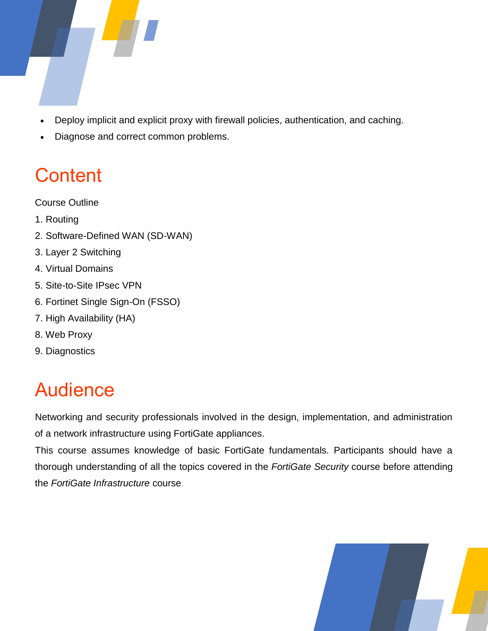

- Deploy implicit and explicit proxy with firewall policies, authentication, and caching.
- Diagnose and correct common problems.

### **Content**

Course Outline

- 1. Routing
- 2. Software-Defined WAN (SD-WAN)
- 3. Layer 2 Switching
- 4. Virtual Domains
- 5. Site-to-Site IPsec VPN
- 6. Fortinet Single Sign-On (FSSO)
- 7. High Availability (HA)
- 8. Web Proxy
- 9. Diagnostics

## Audience

Networking and security professionals involved in the design, implementation, and administration of a network infrastructure using FortiGate appliances.

This course assumes knowledge of basic FortiGate fundamentals. Participants should have a thorough understanding of all the topics covered in the *FortiGate Security* course before attending the *FortiGate Infrastructure* course.